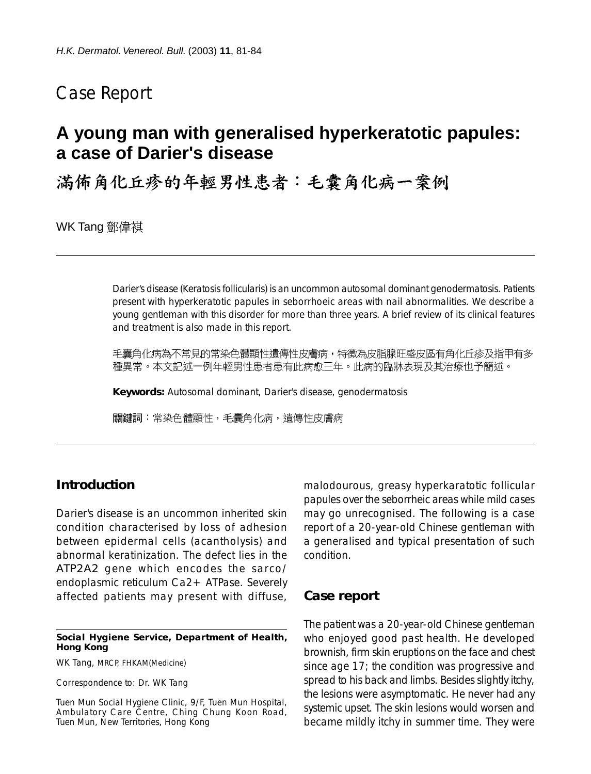# Case Report

# **A young man with generalised hyperkeratotic papules: a case of Darier's disease**

满佈角化丘疹的年輕男性患者:毛囊角化病一案例

WK Tang 鄧偉祺

Darier's disease (Keratosis follicularis) is an uncommon autosomal dominant genodermatosis. Patients present with hyperkeratotic papules in seborrhoeic areas with nail abnormalities. We describe a young gentleman with this disorder for more than three years. A brief review of its clinical features and treatment is also made in this report.

毛囊角化病為不常見的常染色體顯性遺傳性皮膚病,特徵為皮脂腺旺盛皮區有角化丘疹及指甲有多 種異常。本文記述一例年輕男性患者患有此病愈三年。此病的臨牀表現及其治療也予簡述。

**Keywords:** Autosomal dominant, Darier's disease, genodermatosis

關鍵詞:常染色體顯性,毛囊角化病,遺傳性皮膚病

## **Introduction**

Darier's disease is an uncommon inherited skin condition characterised by loss of adhesion between epidermal cells (acantholysis) and abnormal keratinization. The defect lies in the *ATP2A2* gene which encodes the sarco/ endoplasmic reticulum Ca2+ ATPase. Severely affected patients may present with diffuse,

#### **Social Hygiene Service, Department of Health, Hong Kong**

WK Tang, MRCP, FHKAM(Medicine)

Correspondence to: Dr. WK Tang

Tuen Mun Social Hygiene Clinic, 9/F, Tuen Mun Hospital, Ambulatory Care Centre, Ching Chung Koon Road, Tuen Mun, New Territories, Hong Kong

malodourous, greasy hyperkaratotic follicular papules over the seborrheic areas while mild cases may go unrecognised. The following is a case report of a 20-year-old Chinese gentleman with a generalised and typical presentation of such condition.

### **Case report**

The patient was a 20-year-old Chinese gentleman who enjoyed good past health. He developed brownish, firm skin eruptions on the face and chest since age 17; the condition was progressive and spread to his back and limbs. Besides slightly itchy, the lesions were asymptomatic. He never had any systemic upset. The skin lesions would worsen and became mildly itchy in summer time. They were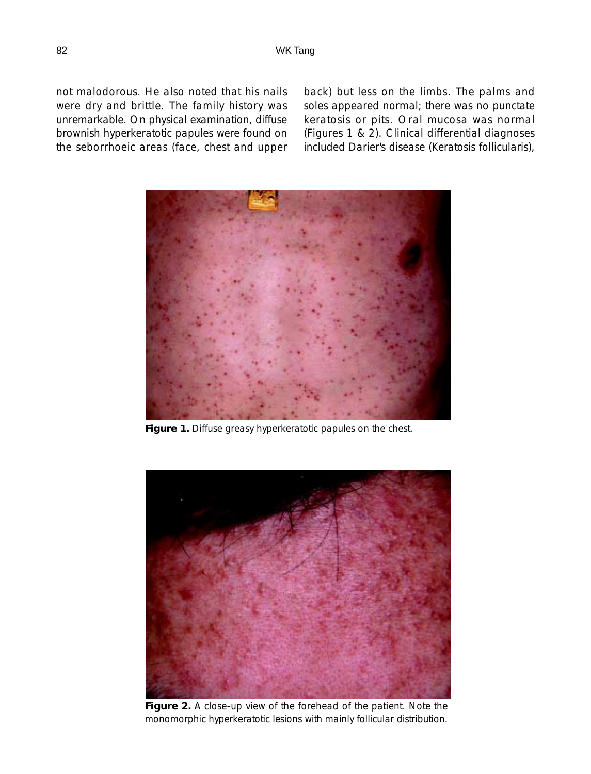not malodorous. He also noted that his nails were dry and brittle. The family history was unremarkable. On physical examination, diffuse brownish hyperkeratotic papules were found on the seborrhoeic areas (face, chest and upper back) but less on the limbs. The palms and soles appeared normal; there was no punctate keratosis or pits. Oral mucosa was normal (Figures 1 & 2). Clinical differential diagnoses included Darier's disease (Keratosis follicularis),



**Figure 1.** Diffuse greasy hyperkeratotic papules on the chest.



**Figure 2.** A close-up view of the forehead of the patient. Note the monomorphic hyperkeratotic lesions with mainly follicular distribution.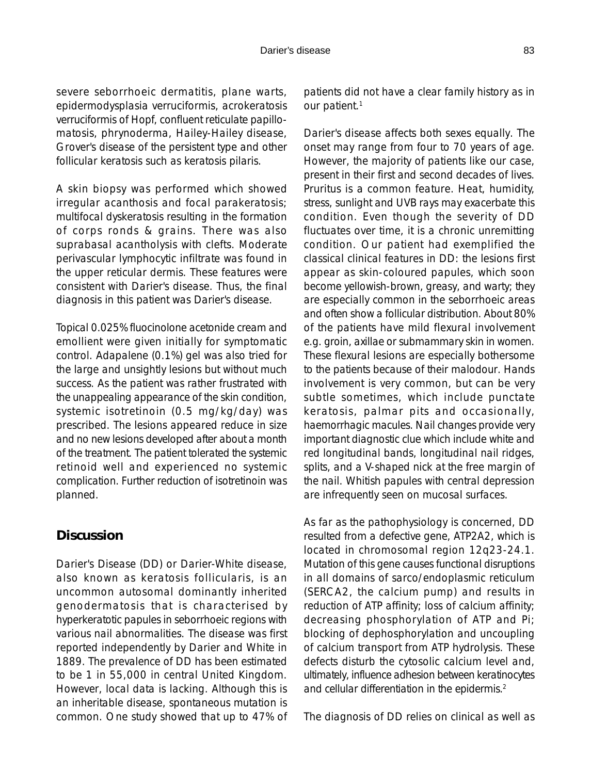#### Darier's disease 83

severe seborrhoeic dermatitis, plane warts, epidermodysplasia verruciformis, acrokeratosis verruciformis of Hopf, confluent reticulate papillomatosis, phrynoderma, Hailey-Hailey disease, Grover's disease of the persistent type and other follicular keratosis such as keratosis pilaris.

A skin biopsy was performed which showed irregular acanthosis and focal parakeratosis; multifocal dyskeratosis resulting in the formation of corps ronds & grains. There was also suprabasal acantholysis with clefts. Moderate perivascular lymphocytic infiltrate was found in the upper reticular dermis. These features were consistent with Darier's disease. Thus, the final diagnosis in this patient was Darier's disease.

Topical 0.025% fluocinolone acetonide cream and emollient were given initially for symptomatic control. Adapalene (0.1%) gel was also tried for the large and unsightly lesions but without much success. As the patient was rather frustrated with the unappealing appearance of the skin condition, systemic isotretinoin (0.5 mg/kg/day) was prescribed. The lesions appeared reduce in size and no new lesions developed after about a month of the treatment. The patient tolerated the systemic retinoid well and experienced no systemic complication. Further reduction of isotretinoin was planned.

## **Discussion**

Darier's Disease (DD) or Darier-White disease, also known as keratosis follicularis, is an uncommon autosomal dominantly inherited genodermatosis that is characterised by hyperkeratotic papules in seborrhoeic regions with various nail abnormalities. The disease was first reported independently by Darier and White in 1889. The prevalence of DD has been estimated to be 1 in 55,000 in central United Kingdom. However, local data is lacking. Although this is an inheritable disease, spontaneous mutation is common. One study showed that up to 47% of patients did not have a clear family history as in our patient.<sup>1</sup>

Darier's disease affects both sexes equally. The onset may range from four to 70 years of age. However, the majority of patients like our case, present in their first and second decades of lives. Pruritus is a common feature. Heat, humidity, stress, sunlight and UVB rays may exacerbate this condition. Even though the severity of DD fluctuates over time, it is a chronic unremitting condition. Our patient had exemplified the classical clinical features in DD: the lesions first appear as skin-coloured papules, which soon become yellowish-brown, greasy, and warty; they are especially common in the seborrhoeic areas and often show a follicular distribution. About 80% of the patients have mild flexural involvement e.g. groin, axillae or submammary skin in women. These flexural lesions are especially bothersome to the patients because of their malodour. Hands involvement is very common, but can be very subtle sometimes, which include punctate keratosis, palmar pits and occasionally, haemorrhagic macules. Nail changes provide very important diagnostic clue which include white and red longitudinal bands, longitudinal nail ridges, splits, and a V-shaped nick at the free margin of the nail. Whitish papules with central depression are infrequently seen on mucosal surfaces.

As far as the pathophysiology is concerned, DD resulted from a defective gene, ATP2A2, which is located in chromosomal region 12q23-24.1. Mutation of this gene causes functional disruptions in all domains of sarco/endoplasmic reticulum (SERCA2, the calcium pump) and results in reduction of ATP affinity; loss of calcium affinity; decreasing phosphorylation of ATP and Pi; blocking of dephosphorylation and uncoupling of calcium transport from ATP hydrolysis. These defects disturb the cytosolic calcium level and, ultimately, influence adhesion between keratinocytes and cellular differentiation in the epidermis.2

The diagnosis of DD relies on clinical as well as